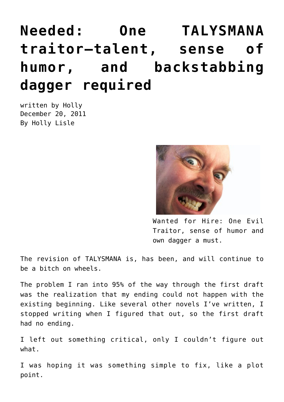## **[Needed: One TALYSMANA](https://hollylisle.com/needed-one-talysmana-traitor-talent-sense-of-humor-and-backstabbing-dagger-required/) [traitor—talent, sense of](https://hollylisle.com/needed-one-talysmana-traitor-talent-sense-of-humor-and-backstabbing-dagger-required/) [humor, and backstabbing](https://hollylisle.com/needed-one-talysmana-traitor-talent-sense-of-humor-and-backstabbing-dagger-required/) [dagger required](https://hollylisle.com/needed-one-talysmana-traitor-talent-sense-of-humor-and-backstabbing-dagger-required/)**

written by Holly December 20, 2011 [By Holly Lisle](https://hollylisle.com)



Wanted for Hire: One Evil Traitor, sense of humor and own dagger a must.

The revision of TALYSMANA is, has been, and will continue to be a bitch on wheels.

The problem I ran into 95% of the way through the first draft was the realization that my ending could not happen with the existing beginning. Like several other novels I've written, I stopped writing when I figured that out, so the first draft had no ending.

I left out something critical, only I couldn't figure out what.

I was hoping it was something simple to fix, like a plot point.